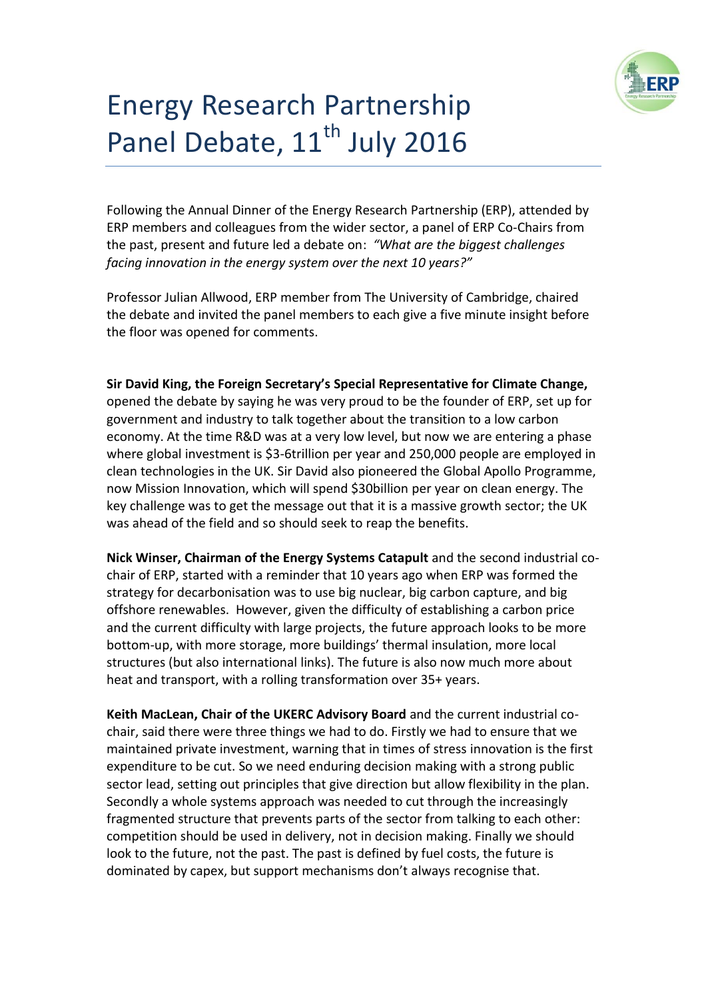

# Energy Research Partnership Panel Debate, 11<sup>th</sup> July 2016

Following the Annual Dinner of the Energy Research Partnership (ERP), attended by ERP members and colleagues from the wider sector, a panel of ERP Co-Chairs from the past, present and future led a debate on: *"What are the biggest challenges facing innovation in the energy system over the next 10 years?"*

Professor Julian Allwood, ERP member from The University of Cambridge, chaired the debate and invited the panel members to each give a five minute insight before the floor was opened for comments.

**Sir David King, the Foreign Secretary's Special Representative for Climate Change,** opened the debate by saying he was very proud to be the founder of ERP, set up for government and industry to talk together about the transition to a low carbon economy. At the time R&D was at a very low level, but now we are entering a phase where global investment is \$3-6trillion per year and 250,000 people are employed in clean technologies in the UK. Sir David also pioneered the Global Apollo Programme, now Mission Innovation, which will spend \$30billion per year on clean energy. The key challenge was to get the message out that it is a massive growth sector; the UK was ahead of the field and so should seek to reap the benefits.

**Nick Winser, Chairman of the Energy Systems Catapult** and the second industrial cochair of ERP, started with a reminder that 10 years ago when ERP was formed the strategy for decarbonisation was to use big nuclear, big carbon capture, and big offshore renewables. However, given the difficulty of establishing a carbon price and the current difficulty with large projects, the future approach looks to be more bottom-up, with more storage, more buildings' thermal insulation, more local structures (but also international links). The future is also now much more about heat and transport, with a rolling transformation over 35+ years.

**Keith MacLean, Chair of the UKERC Advisory Board** and the current industrial cochair, said there were three things we had to do. Firstly we had to ensure that we maintained private investment, warning that in times of stress innovation is the first expenditure to be cut. So we need enduring decision making with a strong public sector lead, setting out principles that give direction but allow flexibility in the plan. Secondly a whole systems approach was needed to cut through the increasingly fragmented structure that prevents parts of the sector from talking to each other: competition should be used in delivery, not in decision making. Finally we should look to the future, not the past. The past is defined by fuel costs, the future is dominated by capex, but support mechanisms don't always recognise that.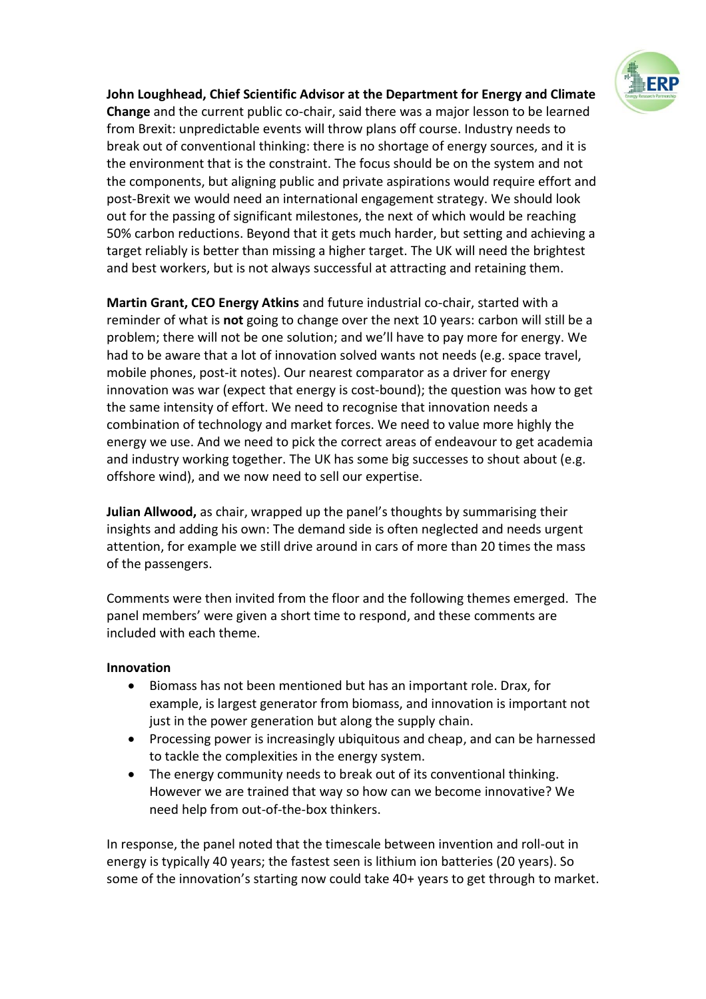

**John Loughhead, Chief Scientific Advisor at the Department for Energy and Climate Change** and the current public co-chair, said there was a major lesson to be learned from Brexit: unpredictable events will throw plans off course. Industry needs to break out of conventional thinking: there is no shortage of energy sources, and it is the environment that is the constraint. The focus should be on the system and not the components, but aligning public and private aspirations would require effort and post-Brexit we would need an international engagement strategy. We should look out for the passing of significant milestones, the next of which would be reaching 50% carbon reductions. Beyond that it gets much harder, but setting and achieving a target reliably is better than missing a higher target. The UK will need the brightest and best workers, but is not always successful at attracting and retaining them.

**Martin Grant, CEO Energy Atkins** and future industrial co-chair, started with a reminder of what is **not** going to change over the next 10 years: carbon will still be a problem; there will not be one solution; and we'll have to pay more for energy. We had to be aware that a lot of innovation solved wants not needs (e.g. space travel, mobile phones, post-it notes). Our nearest comparator as a driver for energy innovation was war (expect that energy is cost-bound); the question was how to get the same intensity of effort. We need to recognise that innovation needs a combination of technology and market forces. We need to value more highly the energy we use. And we need to pick the correct areas of endeavour to get academia and industry working together. The UK has some big successes to shout about (e.g. offshore wind), and we now need to sell our expertise.

**Julian Allwood,** as chair, wrapped up the panel's thoughts by summarising their insights and adding his own: The demand side is often neglected and needs urgent attention, for example we still drive around in cars of more than 20 times the mass of the passengers.

Comments were then invited from the floor and the following themes emerged. The panel members' were given a short time to respond, and these comments are included with each theme.

#### **Innovation**

- Biomass has not been mentioned but has an important role. Drax, for example, is largest generator from biomass, and innovation is important not just in the power generation but along the supply chain.
- Processing power is increasingly ubiquitous and cheap, and can be harnessed to tackle the complexities in the energy system.
- The energy community needs to break out of its conventional thinking. However we are trained that way so how can we become innovative? We need help from out-of-the-box thinkers.

In response, the panel noted that the timescale between invention and roll-out in energy is typically 40 years; the fastest seen is lithium ion batteries (20 years). So some of the innovation's starting now could take 40+ years to get through to market.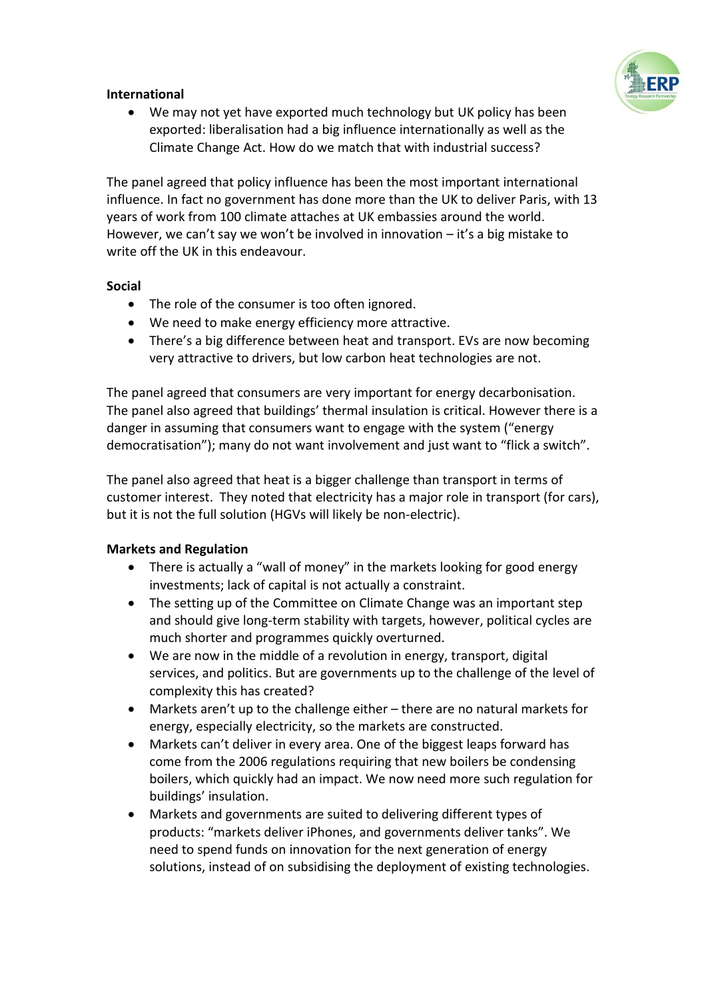

# **International**

 We may not yet have exported much technology but UK policy has been exported: liberalisation had a big influence internationally as well as the Climate Change Act. How do we match that with industrial success?

The panel agreed that policy influence has been the most important international influence. In fact no government has done more than the UK to deliver Paris, with 13 years of work from 100 climate attaches at UK embassies around the world. However, we can't say we won't be involved in innovation – it's a big mistake to write off the UK in this endeavour.

## **Social**

- The role of the consumer is too often ignored.
- We need to make energy efficiency more attractive.
- There's a big difference between heat and transport. EVs are now becoming very attractive to drivers, but low carbon heat technologies are not.

The panel agreed that consumers are very important for energy decarbonisation. The panel also agreed that buildings' thermal insulation is critical. However there is a danger in assuming that consumers want to engage with the system ("energy democratisation"); many do not want involvement and just want to "flick a switch".

The panel also agreed that heat is a bigger challenge than transport in terms of customer interest. They noted that electricity has a major role in transport (for cars), but it is not the full solution (HGVs will likely be non-electric).

## **Markets and Regulation**

- There is actually a "wall of money" in the markets looking for good energy investments; lack of capital is not actually a constraint.
- The setting up of the Committee on Climate Change was an important step and should give long-term stability with targets, however, political cycles are much shorter and programmes quickly overturned.
- We are now in the middle of a revolution in energy, transport, digital services, and politics. But are governments up to the challenge of the level of complexity this has created?
- Markets aren't up to the challenge either there are no natural markets for energy, especially electricity, so the markets are constructed.
- Markets can't deliver in every area. One of the biggest leaps forward has come from the 2006 regulations requiring that new boilers be condensing boilers, which quickly had an impact. We now need more such regulation for buildings' insulation.
- Markets and governments are suited to delivering different types of products: "markets deliver iPhones, and governments deliver tanks". We need to spend funds on innovation for the next generation of energy solutions, instead of on subsidising the deployment of existing technologies.